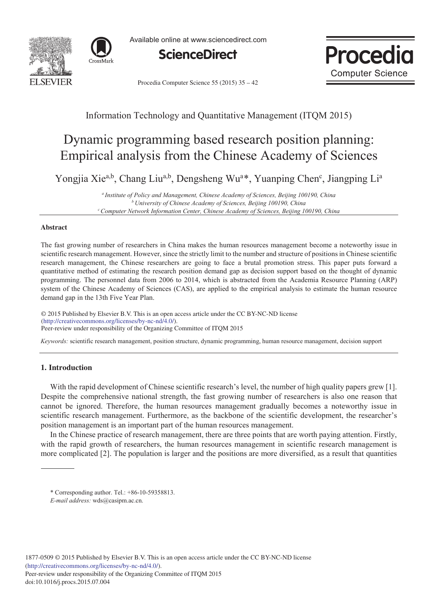



Available online at www.sciencedirect.com





Procedia Computer Science 55 (2015) 35 - 42

# Information Technology and Quantitative Management (ITQM 2015)

# Dynamic programming based research position planning: Empirical analysis from the Chinese Academy of Sciences

Yongjia Xie<sup>a,b</sup>, Chang Liu<sup>a,b</sup>, Dengsheng Wu<sup>a\*</sup>, Yuanping Chen<sup>c</sup>, Jiangping Li<sup>a</sup>

*<sup>a</sup> Institute of Policy and Management, Chinese Academy of Sciences, Beijing 100190, China <sup>b</sup> University of Chinese Academy of Sciences, Beijing 100190, China c Computer Network Information Center, Chinese Academy of Sciences, Beijing 100190, China*

#### **Abstract**

The fast growing number of researchers in China makes the human resources management become a noteworthy issue in scientific research management. However, since the strictly limit to the number and structure of positions in Chinese scientific research management, the Chinese researchers are going to face a brutal promotion stress. This paper puts forward a quantitative method of estimating the research position demand gap as decision support based on the thought of dynamic programming. The personnel data from 2006 to 2014, which is abstracted from the Academia Resource Planning (ARP) system of the Chinese Academy of Sciences (CAS), are applied to the empirical analysis to estimate the human resource demand gap in the 13th Five Year Plan.

© 2015 Published by Elsevier B.V. This is an open access article under the CC BY-NC-ND license (nup://creauvecommons.org/ncenses/by-nc-nd/4.0/).<br>Peer-review under responsibility of the Organizing Committee of ITQM 2015 (http://creativecommons.org/licenses/by-nc-nd/4.0/).

*Keywords:* scientific research management, position structure, dynamic programming, human resource management, decision support

## **1. Introduction**

With the rapid development of Chinese scientific research's level, the number of high quality papers grew [1]. Despite the comprehensive national strength, the fast growing number of researchers is also one reason that cannot be ignored. Therefore, the human resources management gradually becomes a noteworthy issue in scientific research management. Furthermore, as the backbone of the scientific development, the researcher's position management is an important part of the human resources management.

In the Chinese practice of research management, there are three points that are worth paying attention. Firstly, with the rapid growth of researchers, the human resources management in scientific research management is more complicated [2]. The population is larger and the positions are more diversified, as a result that quantities

<sup>\*</sup> Corresponding author. Tel.: +86-10-59358813.

*E-mail address:* wds@casipm.ac.cn.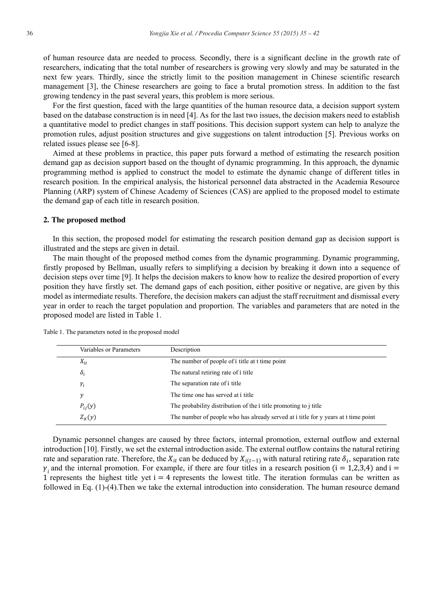of human resource data are needed to process. Secondly, there is a significant decline in the growth rate of researchers, indicating that the total number of researchers is growing very slowly and may be saturated in the next few years. Thirdly, since the strictly limit to the position management in Chinese scientific research management [3], the Chinese researchers are going to face a brutal promotion stress. In addition to the fast growing tendency in the past several years, this problem is more serious.

For the first question, faced with the large quantities of the human resource data, a decision support system based on the database construction is in need [4]. As for the last two issues, the decision makers need to establish a quantitative model to predict changes in staff positions. This decision support system can help to analyze the promotion rules, adjust position structures and give suggestions on talent introduction [5]. Previous works on related issues please see [6-8].

Aimed at these problems in practice, this paper puts forward a method of estimating the research position demand gap as decision support based on the thought of dynamic programming. In this approach, the dynamic programming method is applied to construct the model to estimate the dynamic change of different titles in research position. In the empirical analysis, the historical personnel data abstracted in the Academia Resource Planning (ARP) system of Chinese Academy of Sciences (CAS) are applied to the proposed model to estimate the demand gap of each title in research position.

#### **2. The proposed method**

In this section, the proposed model for estimating the research position demand gap as decision support is illustrated and the steps are given in detail.

The main thought of the proposed method comes from the dynamic programming. Dynamic programming, firstly proposed by Bellman, usually refers to simplifying a decision by breaking it down into a sequence of decision steps over time [9]. It helps the decision makers to know how to realize the desired proportion of every position they have firstly set. The demand gaps of each position, either positive or negative, are given by this model as intermediate results. Therefore, the decision makers can adjust the staff recruitment and dismissal every year in order to reach the target population and proportion. The variables and parameters that are noted in the proposed model are listed in Table 1.

| Variables or Parameters | Description                                                                        |
|-------------------------|------------------------------------------------------------------------------------|
| $X_{it}$                | The number of people of i title at t time point                                    |
| $\delta_i$              | The natural retiring rate of i title.                                              |
| $\gamma_i$              | The separation rate of i title                                                     |
| у                       | The time one has served at i title                                                 |
| $P_{ij}(y)$             | The probability distribution of the <i>i</i> title promoting to <i>i</i> title     |
| $Z_{it}(y)$             | The number of people who has already served at i title for y years at t time point |
|                         |                                                                                    |

Table 1. The parameters noted in the proposed model

Dynamic personnel changes are caused by three factors, internal promotion, external outflow and external introduction [10]. Firstly, we set the external introduction aside. The external outflow contains the natural retiring rate and separation rate. Therefore, the  $X_{it}$  can be deduced by  $X_{i(t-1)}$  with natural retiring rate  $\delta_i$ , separation rate  $\gamma_i$  and the internal promotion. For example, if there are four titles in a research position (i = 1,2,3,4) and i = 1 represents the highest title yet  $i = 4$  represents the lowest title. The iteration formulas can be written as followed in Eq. (1)-(4).Then we take the external introduction into consideration. The human resource demand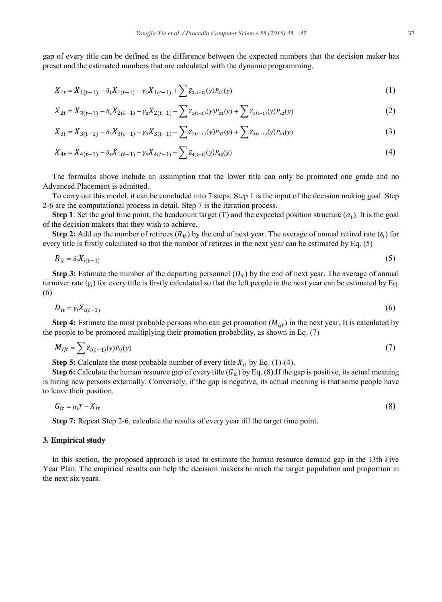gap of every title can be defined as the difference between the expected numbers that the decision maker has preset and the estimated numbers that are calculated with the dynamic programming.

$$
X_{1t} = X_{1(t-1)} - \delta_1 X_{1(t-1)} - \gamma_1 X_{1(t-1)} + \sum Z_{2(t-1)}(y) P_{21}(y)
$$
\n(1)

$$
X_{2t} = X_{2(t-1)} - \delta_2 X_{2(t-1)} - \gamma_2 X_{2(t-1)} - \sum Z_{2(t-1)}(y)P_{21}(y) + \sum Z_{3(t-1)}(y)P_{32}(y)
$$
\n(2)

$$
X_{3t} = X_{3(t-1)} - \delta_3 X_{3(t-1)} - \gamma_3 X_{3(t-1)} - \sum Z_{3(t-1)}(y)P_{32}(y) + \sum Z_{4(t-1)}(y)P_{43}(y)
$$
\n(3)

$$
X_{4t} = X_{4(t-1)} - \delta_4 X_{1(t-1)} - \gamma_4 X_{4(t-1)} - \sum Z_{4(t-1)}(y) P_{43}(y) \tag{4}
$$

The formulas above include an assumption that the lower title can only be promoted one grade and no Advanced Placement is admitted.

To carry out this model, it can be concluded into 7 steps. Step 1 is the input of the decision making goal. Step 2-6 are the computational process in detail. Step 7 is the iteration process.

**Step 1**: Set the goal time point, the headcount target (T) and the expected position structure  $(\alpha_i)$ . It is the goal of the decision makers that they wish to achieve.

**Step 2:** Add up the number of retirees  $(R_{it})$  by the end of next year. The average of annual retired rate  $(\delta_i)$  for every title is firstly calculated so that the number of retirees in the next year can be estimated by Eq. (5)

$$
R_{it} = \delta_i X_{i(t-1)} \tag{5}
$$

**Step 3:** Estimate the number of the departing personnel  $(D_{it})$  by the end of next year. The average of annual turnover rate  $(y_i)$  for every title is firstly calculated so that the left people in the next year can be estimated by Eq. (6)

$$
D_{it} = \gamma_i X_{i(t-1)} \tag{6}
$$

**Step 4:** Estimate the most probable persons who can get promotion  $(M_{ijt})$  in the next year. It is calculated by the people to be promoted multiplying their promotion probability, as shown in Eq. (7)

$$
M_{ijt} = \sum Z_{i(t-1)}(y)P_{ij}(y) \tag{7}
$$

**Step 5:** Calculate the most probable number of every title  $X_{it}$  by Eq. (1)-(4).

**Step 6:** Calculate the human resource gap of every title  $(G_{it})$  by Eq. (8). If the gap is positive, its actual meaning is hiring new persons externally. Conversely, if the gap is negative, its actual meaning is that some people have to leave their position.

$$
G_{it} = \alpha_i T - X_{it} \tag{8}
$$

**Step 7:** Repeat Step 2-6, calculate the results of every year till the target time point.

#### **3. Empirical study**

In this section, the proposed approach is used to estimate the human resource demand gap in the 13th Five Year Plan. The empirical results can help the decision makers to reach the target population and proportion in the next six years.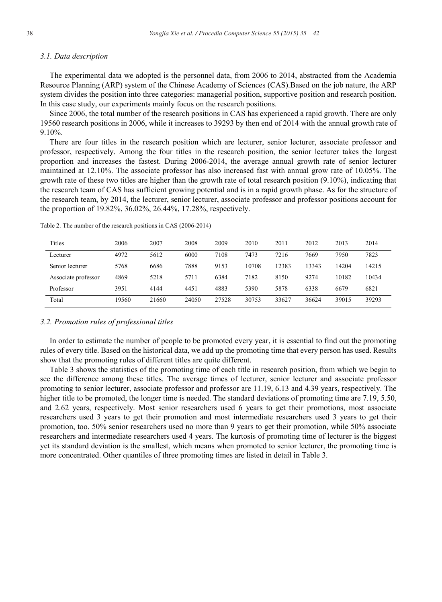#### *3.1. Data description*

The experimental data we adopted is the personnel data, from 2006 to 2014, abstracted from the Academia Resource Planning (ARP) system of the Chinese Academy of Sciences (CAS).Based on the job nature, the ARP system divides the position into three categories: managerial position, supportive position and research position. In this case study, our experiments mainly focus on the research positions.

Since 2006, the total number of the research positions in CAS has experienced a rapid growth. There are only 19560 research positions in 2006, while it increases to 39293 by then end of 2014 with the annual growth rate of 9.10%.

There are four titles in the research position which are lecturer, senior lecturer, associate professor and professor, respectively. Among the four titles in the research position, the senior lecturer takes the largest proportion and increases the fastest. During 2006-2014, the average annual growth rate of senior lecturer maintained at 12.10%. The associate professor has also increased fast with annual grow rate of 10.05%. The growth rate of these two titles are higher than the growth rate of total research position (9.10%), indicating that the research team of CAS has sufficient growing potential and is in a rapid growth phase. As for the structure of the research team, by 2014, the lecturer, senior lecturer, associate professor and professor positions account for the proportion of 19.82%, 36.02%, 26.44%, 17.28%, respectively.

| Titles              | 2006  | 2007  | 2008  | 2009  | 2010  | 2011  | 2012  | 2013  | 2014  |
|---------------------|-------|-------|-------|-------|-------|-------|-------|-------|-------|
| Lecturer            | 4972  | 5612  | 6000  | 7108  | 7473  | 7216  | 7669  | 7950  | 7823  |
| Senior lecturer     | 5768  | 6686  | 7888  | 9153  | 10708 | 12383 | 13343 | 14204 | 14215 |
| Associate professor | 4869  | 5218  | 5711  | 6384  | 7182  | 8150  | 9274  | 10182 | 10434 |
| Professor           | 3951  | 4144  | 4451  | 4883  | 5390  | 5878  | 6338  | 6679  | 6821  |
| Total               | 19560 | 21660 | 24050 | 27528 | 30753 | 33627 | 36624 | 39015 | 39293 |

Table 2. The number of the research positions in CAS (2006-2014)

#### *3.2. Promotion rules of professional titles*

In order to estimate the number of people to be promoted every year, it is essential to find out the promoting rules of every title. Based on the historical data, we add up the promoting time that every person has used. Results show that the promoting rules of different titles are quite different.

Table 3 shows the statistics of the promoting time of each title in research position, from which we begin to see the difference among these titles. The average times of lecturer, senior lecturer and associate professor promoting to senior lecturer, associate professor and professor are 11.19, 6.13 and 4.39 years, respectively. The higher title to be promoted, the longer time is needed. The standard deviations of promoting time are 7.19, 5.50, and 2.62 years, respectively. Most senior researchers used 6 years to get their promotions, most associate researchers used 3 years to get their promotion and most intermediate researchers used 3 years to get their promotion, too. 50% senior researchers used no more than 9 years to get their promotion, while 50% associate researchers and intermediate researchers used 4 years. The kurtosis of promoting time of lecturer is the biggest yet its standard deviation is the smallest, which means when promoted to senior lecturer, the promoting time is more concentrated. Other quantiles of three promoting times are listed in detail in Table 3.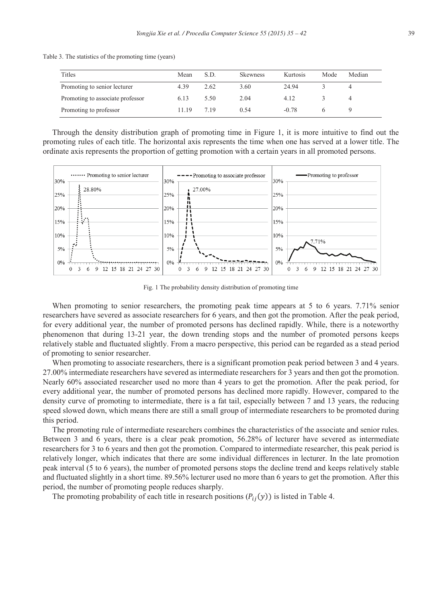Table 3. The statistics of the promoting time (years)

| Titles                           | Mean  | S.D. | <b>Skewness</b> | Kurtosis | Mode | Median |
|----------------------------------|-------|------|-----------------|----------|------|--------|
| Promoting to senior lecturer     | 4.39  | 2.62 | 3.60            | 24.94    |      |        |
| Promoting to associate professor | 6.13  | 5.50 | 2.04            | 4.12     |      |        |
| Promoting to professor           | 11 19 | 719  | 0.54            | $-0.78$  |      |        |

Through the density distribution graph of promoting time in Figure 1, it is more intuitive to find out the promoting rules of each title. The horizontal axis represents the time when one has served at a lower title. The ordinate axis represents the proportion of getting promotion with a certain years in all promoted persons.



Fig. 1 The probability density distribution of promoting time

When promoting to senior researchers, the promoting peak time appears at 5 to 6 years. 7.71% senior researchers have severed as associate researchers for 6 years, and then got the promotion. After the peak period, for every additional year, the number of promoted persons has declined rapidly. While, there is a noteworthy phenomenon that during 13-21 year, the down trending stops and the number of promoted persons keeps relatively stable and fluctuated slightly. From a macro perspective, this period can be regarded as a stead period of promoting to senior researcher.

When promoting to associate researchers, there is a significant promotion peak period between 3 and 4 years. 27.00% intermediate researchers have severed as intermediate researchers for 3 years and then got the promotion. Nearly 60% associated researcher used no more than 4 years to get the promotion. After the peak period, for every additional year, the number of promoted persons has declined more rapidly. However, compared to the density curve of promoting to intermediate, there is a fat tail, especially between 7 and 13 years, the reducing speed slowed down, which means there are still a small group of intermediate researchers to be promoted during this period.

The promoting rule of intermediate researchers combines the characteristics of the associate and senior rules. Between 3 and 6 years, there is a clear peak promotion, 56.28% of lecturer have severed as intermediate researchers for 3 to 6 years and then got the promotion. Compared to intermediate researcher, this peak period is relatively longer, which indicates that there are some individual differences in lecturer. In the late promotion peak interval (5 to 6 years), the number of promoted persons stops the decline trend and keeps relatively stable and fluctuated slightly in a short time. 89.56% lecturer used no more than 6 years to get the promotion. After this period, the number of promoting people reduces sharply.

The promoting probability of each title in research positions  $(P_{ij}(y))$  is listed in Table 4.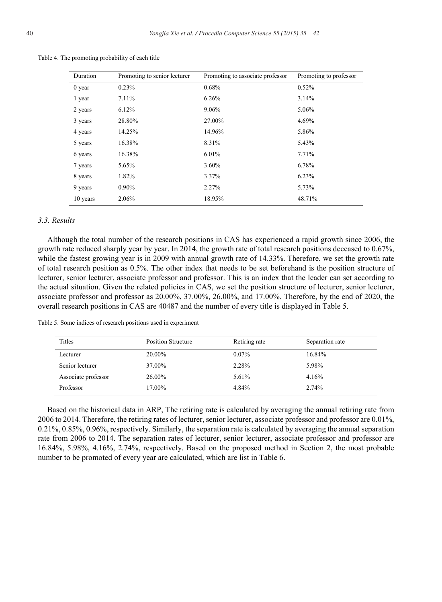| Duration | Promoting to senior lecturer | Promoting to associate professor | Promoting to professor |
|----------|------------------------------|----------------------------------|------------------------|
| $0$ year | 0.23%                        | 0.68%                            | 0.52%                  |
| 1 year   | 7.11%                        | 6.26%                            | 3.14%                  |
| 2 years  | 6.12%                        | 9.06%                            | 5.06%                  |
| 3 years  | 28.80%                       | 27.00%                           | 4.69%                  |
| 4 years  | 14.25%                       | 14.96%                           | 5.86%                  |
| 5 years  | 16.38%                       | 8.31%                            | 5.43%                  |
| 6 years  | 16.38%                       | 6.01%                            | 7.71%                  |
| 7 years  | 5.65%                        | 3.60%                            | 6.78%                  |
| 8 years  | 1.82%                        | 3.37%                            | 6.23%                  |
| 9 years  | $0.90\%$                     | 2.27%                            | 5.73%                  |
| 10 years | 2.06%                        | 18.95%                           | 48.71%                 |

Table 4. The promoting probability of each title

#### *3.3. Results*

Although the total number of the research positions in CAS has experienced a rapid growth since 2006, the growth rate reduced sharply year by year. In 2014, the growth rate of total research positions deceased to 0.67%, while the fastest growing year is in 2009 with annual growth rate of 14.33%. Therefore, we set the growth rate of total research position as 0.5%. The other index that needs to be set beforehand is the position structure of lecturer, senior lecturer, associate professor and professor. This is an index that the leader can set according to the actual situation. Given the related policies in CAS, we set the position structure of lecturer, senior lecturer, associate professor and professor as 20.00%, 37.00%, 26.00%, and 17.00%. Therefore, by the end of 2020, the overall research positions in CAS are 40487 and the number of every title is displayed in Table 5.

|  |  |  |  | Table 5. Some indices of research positions used in experiment |
|--|--|--|--|----------------------------------------------------------------|
|  |  |  |  |                                                                |

| Titles              | <b>Position Structure</b> | Retiring rate | Separation rate |
|---------------------|---------------------------|---------------|-----------------|
| Lecturer            | 20.00%                    | $0.07\%$      | 16.84%          |
| Senior lecturer     | 37.00%                    | 2.28%         | 5.98%           |
| Associate professor | 26.00%                    | 5.61%         | 4.16%           |
| Professor           | 17.00%                    | 4.84%         | 2.74%           |

Based on the historical data in ARP, The retiring rate is calculated by averaging the annual retiring rate from 2006 to 2014. Therefore, the retiring rates of lecturer, senior lecturer, associate professor and professor are 0.01%, 0.21%, 0.85%, 0.96%, respectively. Similarly, the separation rate is calculated by averaging the annual separation rate from 2006 to 2014. The separation rates of lecturer, senior lecturer, associate professor and professor are 16.84%, 5.98%, 4.16%, 2.74%, respectively. Based on the proposed method in Section 2, the most probable number to be promoted of every year are calculated, which are list in Table 6.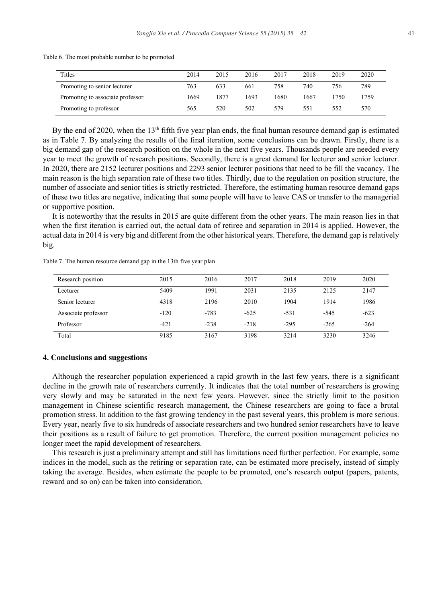| Table 6. The most probable number to be promoted |  |  |
|--------------------------------------------------|--|--|
|--------------------------------------------------|--|--|

| Titles                           | 2014 | 2015 | 2016 | 2017 | 2018 | 2019 | 2020 |
|----------------------------------|------|------|------|------|------|------|------|
| Promoting to senior lecturer     | 763  | 633  | 661  | 758  | 740  | 756  | 789  |
| Promoting to associate professor | 1669 | 1877 | 1693 | 1680 | 1667 | 1750 | 1759 |
| Promoting to professor           | 565  | 520  | 502  | 579  | 551  | 552  | 570  |

By the end of 2020, when the  $13<sup>th</sup>$  fifth five year plan ends, the final human resource demand gap is estimated as in Table 7. By analyzing the results of the final iteration, some conclusions can be drawn. Firstly, there is a big demand gap of the research position on the whole in the next five years. Thousands people are needed every year to meet the growth of research positions. Secondly, there is a great demand for lecturer and senior lecturer. In 2020, there are 2152 lecturer positions and 2293 senior lecturer positions that need to be fill the vacancy. The main reason is the high separation rate of these two titles. Thirdly, due to the regulation on position structure, the number of associate and senior titles is strictly restricted. Therefore, the estimating human resource demand gaps of these two titles are negative, indicating that some people will have to leave CAS or transfer to the managerial or supportive position.

It is noteworthy that the results in 2015 are quite different from the other years. The main reason lies in that when the first iteration is carried out, the actual data of retiree and separation in 2014 is applied. However, the actual data in 2014 is very big and different from the other historical years. Therefore, the demand gap is relatively big.

| Research position   | 2015   | 2016   | 2017   | 2018   | 2019   | 2020   |
|---------------------|--------|--------|--------|--------|--------|--------|
| Lecturer            | 5409   | 1991   | 2031   | 2135   | 2125   | 2147   |
| Senior lecturer     | 4318   | 2196   | 2010   | 1904   | 1914   | 1986   |
| Associate professor | $-120$ | $-783$ | $-625$ | $-531$ | $-545$ | $-623$ |
| Professor           | $-421$ | $-238$ | $-218$ | $-295$ | $-265$ | $-264$ |
| Total               | 9185   | 3167   | 3198   | 3214   | 3230   | 3246   |

Table 7. The human resource demand gap in the 13th five year plan

### **4. Conclusions and suggestions**

Although the researcher population experienced a rapid growth in the last few years, there is a significant decline in the growth rate of researchers currently. It indicates that the total number of researchers is growing very slowly and may be saturated in the next few years. However, since the strictly limit to the position management in Chinese scientific research management, the Chinese researchers are going to face a brutal promotion stress. In addition to the fast growing tendency in the past several years, this problem is more serious. Every year, nearly five to six hundreds of associate researchers and two hundred senior researchers have to leave their positions as a result of failure to get promotion. Therefore, the current position management policies no longer meet the rapid development of researchers.

This research is just a preliminary attempt and still has limitations need further perfection. For example, some indices in the model, such as the retiring or separation rate, can be estimated more precisely, instead of simply taking the average. Besides, when estimate the people to be promoted, one's research output (papers, patents, reward and so on) can be taken into consideration.